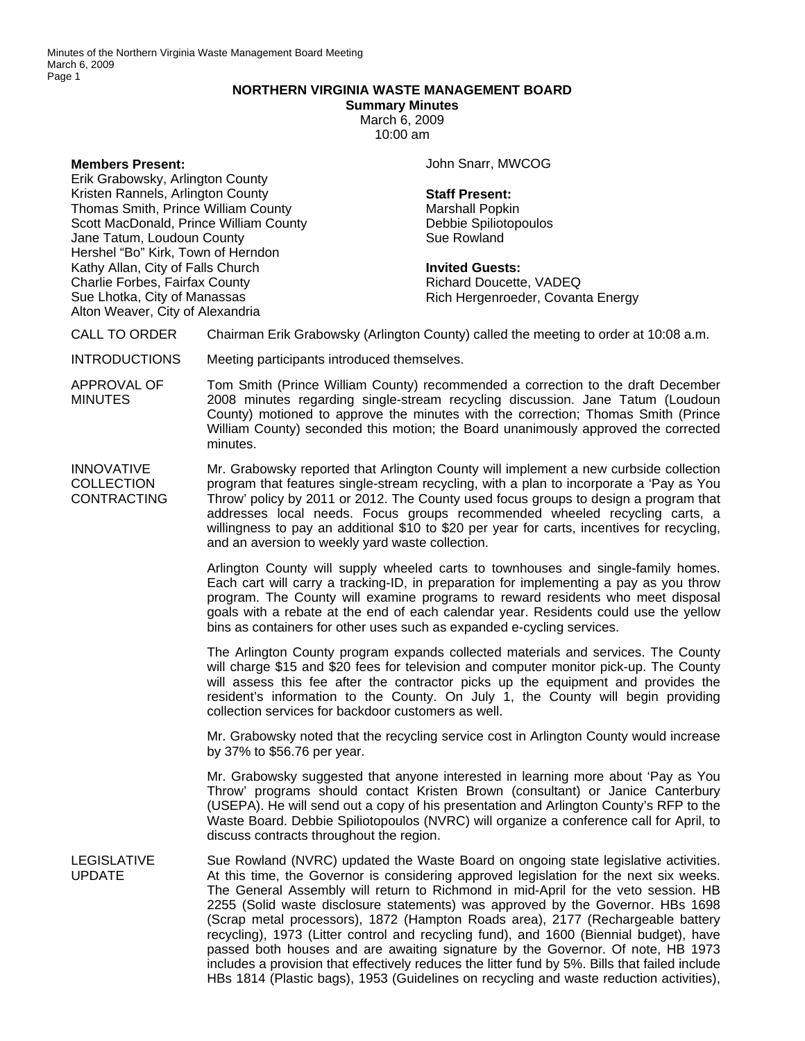## **NORTHERN VIRGINIA WASTE MANAGEMENT BOARD**

**Summary Minutes**  March 6, 2009 10:00 am

**Members Present:** 

Erik Grabowsky, Arlington County Kristen Rannels, Arlington County Thomas Smith, Prince William County Scott MacDonald, Prince William County Jane Tatum, Loudoun County Hershel "Bo" Kirk, Town of Herndon Kathy Allan, City of Falls Church Charlie Forbes, Fairfax County Sue Lhotka, City of Manassas Alton Weaver, City of Alexandria

John Snarr, MWCOG

## **Staff Present:**

Marshall Popkin Debbie Spiliotopoulos Sue Rowland

**Invited Guests:**  Richard Doucette, VADEQ Rich Hergenroeder, Covanta Energy

- CALL TO ORDER Chairman Erik Grabowsky (Arlington County) called the meeting to order at 10:08 a.m.
- INTRODUCTIONS Meeting participants introduced themselves.
- APPROVAL OF **MINUTES** Tom Smith (Prince William County) recommended a correction to the draft December 2008 minutes regarding single-stream recycling discussion. Jane Tatum (Loudoun County) motioned to approve the minutes with the correction; Thomas Smith (Prince William County) seconded this motion; the Board unanimously approved the corrected minutes.

INNOVATIVE **COLLECTION CONTRACTING** Mr. Grabowsky reported that Arlington County will implement a new curbside collection program that features single-stream recycling, with a plan to incorporate a 'Pay as You Throw' policy by 2011 or 2012. The County used focus groups to design a program that addresses local needs. Focus groups recommended wheeled recycling carts, a willingness to pay an additional \$10 to \$20 per year for carts, incentives for recycling, and an aversion to weekly yard waste collection.

> Arlington County will supply wheeled carts to townhouses and single-family homes. Each cart will carry a tracking-ID, in preparation for implementing a pay as you throw program. The County will examine programs to reward residents who meet disposal goals with a rebate at the end of each calendar year. Residents could use the yellow bins as containers for other uses such as expanded e-cycling services.

> The Arlington County program expands collected materials and services. The County will charge \$15 and \$20 fees for television and computer monitor pick-up. The County will assess this fee after the contractor picks up the equipment and provides the resident's information to the County. On July 1, the County will begin providing collection services for backdoor customers as well.

> Mr. Grabowsky noted that the recycling service cost in Arlington County would increase by 37% to \$56.76 per year.

> Mr. Grabowsky suggested that anyone interested in learning more about 'Pay as You Throw' programs should contact Kristen Brown (consultant) or Janice Canterbury (USEPA). He will send out a copy of his presentation and Arlington County's RFP to the Waste Board. Debbie Spiliotopoulos (NVRC) will organize a conference call for April, to discuss contracts throughout the region.

LEGISLATIVE UPDATE Sue Rowland (NVRC) updated the Waste Board on ongoing state legislative activities. At this time, the Governor is considering approved legislation for the next six weeks. The General Assembly will return to Richmond in mid-April for the veto session. HB 2255 (Solid waste disclosure statements) was approved by the Governor. HBs 1698 (Scrap metal processors), 1872 (Hampton Roads area), 2177 (Rechargeable battery recycling), 1973 (Litter control and recycling fund), and 1600 (Biennial budget), have passed both houses and are awaiting signature by the Governor. Of note, HB 1973 includes a provision that effectively reduces the litter fund by 5%. Bills that failed include HBs 1814 (Plastic bags), 1953 (Guidelines on recycling and waste reduction activities),